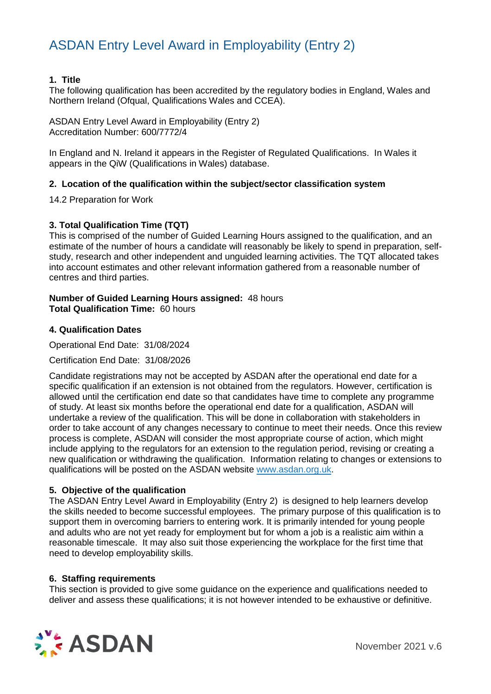### **1. Title**

The following qualification has been accredited by the regulatory bodies in England, Wales and Northern Ireland (Ofqual, Qualifications Wales and CCEA).

ASDAN Entry Level Award in Employability (Entry 2) Accreditation Number: 600/7772/4

In England and N. Ireland it appears in the Register of Regulated Qualifications. In Wales it appears in the QiW (Qualifications in Wales) database.

#### **2. Location of the qualification within the subject/sector classification system**

14.2 Preparation for Work

### **3. Total Qualification Time (TQT)**

This is comprised of the number of Guided Learning Hours assigned to the qualification, and an estimate of the number of hours a candidate will reasonably be likely to spend in preparation, selfstudy, research and other independent and unguided learning activities. The TQT allocated takes into account estimates and other relevant information gathered from a reasonable number of centres and third parties.

#### **Number of Guided Learning Hours assigned:** 48 hours **Total Qualification Time:** 60 hours

#### **4. Qualification Dates**

Operational End Date: 31/08/2024

Certification End Date: 31/08/2026

Candidate registrations may not be accepted by ASDAN after the operational end date for a specific qualification if an extension is not obtained from the regulators. However, certification is allowed until the certification end date so that candidates have time to complete any programme of study. At least six months before the operational end date for a qualification, ASDAN will undertake a review of the qualification. This will be done in collaboration with stakeholders in order to take account of any changes necessary to continue to meet their needs. Once this review process is complete, ASDAN will consider the most appropriate course of action, which might include applying to the regulators for an extension to the regulation period, revising or creating a new qualification or withdrawing the qualification. Information relating to changes or extensions to qualifications will be posted on the ASDAN website [www.asdan.org.uk.](http://www.asdan.org.uk/)

### **5. Objective of the qualification**

The ASDAN Entry Level Award in Employability (Entry 2) is designed to help learners develop the skills needed to become successful employees. The primary purpose of this qualification is to support them in overcoming barriers to entering work. It is primarily intended for young people and adults who are not yet ready for employment but for whom a job is a realistic aim within a reasonable timescale. It may also suit those experiencing the workplace for the first time that need to develop employability skills.

#### **6. Staffing requirements**

This section is provided to give some guidance on the experience and qualifications needed to deliver and assess these qualifications; it is not however intended to be exhaustive or definitive.

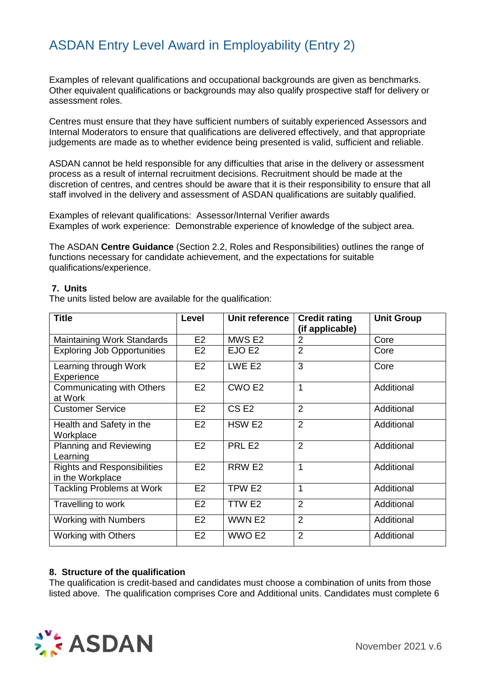Examples of relevant qualifications and occupational backgrounds are given as benchmarks. Other equivalent qualifications or backgrounds may also qualify prospective staff for delivery or assessment roles.

Centres must ensure that they have sufficient numbers of suitably experienced Assessors and Internal Moderators to ensure that qualifications are delivered effectively, and that appropriate judgements are made as to whether evidence being presented is valid, sufficient and reliable.

ASDAN cannot be held responsible for any difficulties that arise in the delivery or assessment process as a result of internal recruitment decisions. Recruitment should be made at the discretion of centres, and centres should be aware that it is their responsibility to ensure that all staff involved in the delivery and assessment of ASDAN qualifications are suitably qualified.

Examples of relevant qualifications: Assessor/Internal Verifier awards Examples of work experience: Demonstrable experience of knowledge of the subject area.

The ASDAN **Centre Guidance** (Section 2.2, Roles and Responsibilities) outlines the range of functions necessary for candidate achievement, and the expectations for suitable qualifications/experience.

#### **7. Units**

The units listed below are available for the qualification:

| <b>Title</b>                                           | Level          | Unit reference     | <b>Credit rating</b><br>(if applicable) | <b>Unit Group</b> |
|--------------------------------------------------------|----------------|--------------------|-----------------------------------------|-------------------|
| Maintaining Work Standards                             | E <sub>2</sub> | MWS E2             | $\overline{2}$                          | Core              |
| <b>Exploring Job Opportunities</b>                     | E <sub>2</sub> | EJO E <sub>2</sub> | $\overline{2}$                          | Core              |
| Learning through Work<br>Experience                    | E <sub>2</sub> | LWE E2             | 3                                       | Core              |
| <b>Communicating with Others</b><br>at Work            | E2             | CWO <sub>E2</sub>  | $\overline{1}$                          | Additional        |
| <b>Customer Service</b>                                | E2             | CS <sub>E2</sub>   | $\overline{2}$                          | Additional        |
| Health and Safety in the<br>Workplace                  | E <sub>2</sub> | HSW <sub>E2</sub>  | $\overline{2}$                          | Additional        |
| <b>Planning and Reviewing</b><br>Learning              | E2             | PRL <sub>E2</sub>  | $\overline{2}$                          | Additional        |
| <b>Rights and Responsibilities</b><br>in the Workplace | E <sub>2</sub> | RRW E2             | $\mathbf{1}$                            | Additional        |
| <b>Tackling Problems at Work</b>                       | E2             | TPW E2             | $\mathbf{1}$                            | Additional        |
| Travelling to work                                     | E2             | TTW E2             | $\overline{2}$                          | Additional        |
| <b>Working with Numbers</b>                            | E2             | WWN E2             | $\overline{2}$                          | Additional        |
| <b>Working with Others</b>                             | E <sub>2</sub> | WWO E2             | $\overline{2}$                          | Additional        |

### **8. Structure of the qualification**

The qualification is credit-based and candidates must choose a combination of units from those listed above. The qualification comprises Core and Additional units. Candidates must complete 6

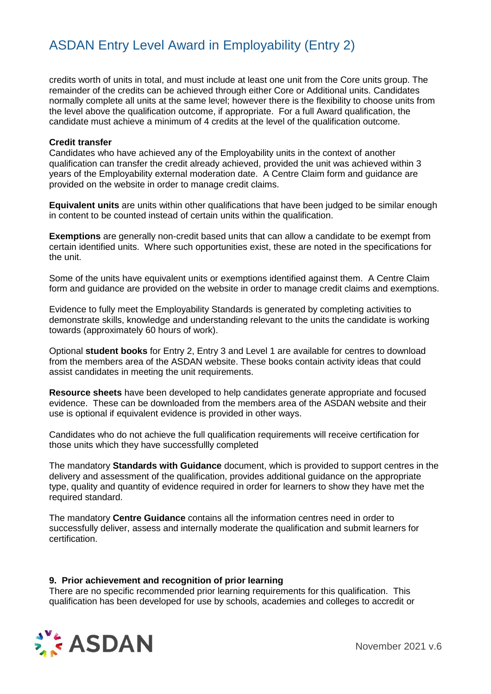credits worth of units in total, and must include at least one unit from the Core units group. The remainder of the credits can be achieved through either Core or Additional units. Candidates normally complete all units at the same level; however there is the flexibility to choose units from the level above the qualification outcome, if appropriate. For a full Award qualification, the candidate must achieve a minimum of 4 credits at the level of the qualification outcome.

#### **Credit transfer**

Candidates who have achieved any of the Employability units in the context of another qualification can transfer the credit already achieved, provided the unit was achieved within 3 years of the Employability external moderation date. A Centre Claim form and guidance are provided on the website in order to manage credit claims.

**Equivalent units** are units within other qualifications that have been judged to be similar enough in content to be counted instead of certain units within the qualification.

**Exemptions** are generally non-credit based units that can allow a candidate to be exempt from certain identified units. Where such opportunities exist, these are noted in the specifications for the unit.

Some of the units have equivalent units or exemptions identified against them. A Centre Claim form and guidance are provided on the website in order to manage credit claims and exemptions.

Evidence to fully meet the Employability Standards is generated by completing activities to demonstrate skills, knowledge and understanding relevant to the units the candidate is working towards (approximately 60 hours of work).

Optional **student books** for Entry 2, Entry 3 and Level 1 are available for centres to download from the members area of the ASDAN website. These books contain activity ideas that could assist candidates in meeting the unit requirements.

**Resource sheets** have been developed to help candidates generate appropriate and focused evidence. These can be downloaded from the members area of the ASDAN website and their use is optional if equivalent evidence is provided in other ways.

Candidates who do not achieve the full qualification requirements will receive certification for those units which they have successfullly completed

The mandatory **Standards with Guidance** document, which is provided to support centres in the delivery and assessment of the qualification, provides additional guidance on the appropriate type, quality and quantity of evidence required in order for learners to show they have met the required standard.

The mandatory **Centre Guidance** contains all the information centres need in order to successfully deliver, assess and internally moderate the qualification and submit learners for certification.

#### **9. Prior achievement and recognition of prior learning**

There are no specific recommended prior learning requirements for this qualification. This qualification has been developed for use by schools, academies and colleges to accredit or

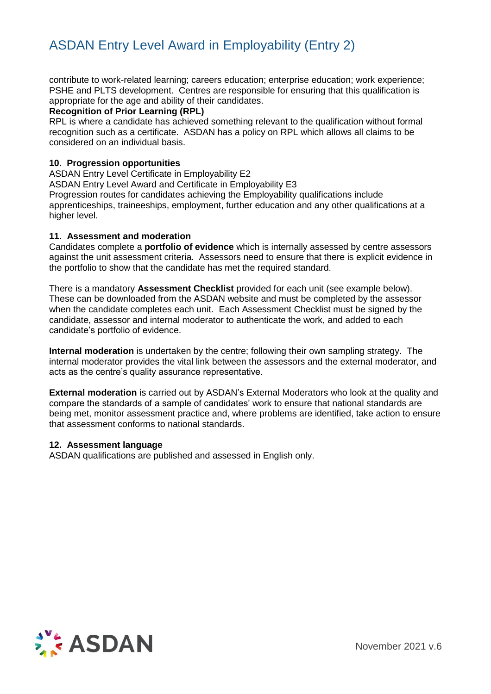contribute to work-related learning; careers education; enterprise education; work experience; PSHE and PLTS development. Centres are responsible for ensuring that this qualification is appropriate for the age and ability of their candidates.

#### **Recognition of Prior Learning (RPL)**

RPL is where a candidate has achieved something relevant to the qualification without formal recognition such as a certificate. ASDAN has a policy on RPL which allows all claims to be considered on an individual basis.

#### **10. Progression opportunities**

ASDAN Entry Level Certificate in Employability E2

ASDAN Entry Level Award and Certificate in Employability E3

Progression routes for candidates achieving the Employability qualifications include apprenticeships, traineeships, employment, further education and any other qualifications at a higher level.

#### **11. Assessment and moderation**

Candidates complete a **portfolio of evidence** which is internally assessed by centre assessors against the unit assessment criteria. Assessors need to ensure that there is explicit evidence in the portfolio to show that the candidate has met the required standard.

There is a mandatory **Assessment Checklist** provided for each unit (see example below). These can be downloaded from the ASDAN website and must be completed by the assessor when the candidate completes each unit. Each Assessment Checklist must be signed by the candidate, assessor and internal moderator to authenticate the work, and added to each candidate's portfolio of evidence.

**Internal moderation** is undertaken by the centre; following their own sampling strategy. The internal moderator provides the vital link between the assessors and the external moderator, and acts as the centre's quality assurance representative.

**External moderation** is carried out by ASDAN's External Moderators who look at the quality and compare the standards of a sample of candidates' work to ensure that national standards are being met, monitor assessment practice and, where problems are identified, take action to ensure that assessment conforms to national standards.

#### **12. Assessment language**

ASDAN qualifications are published and assessed in English only.

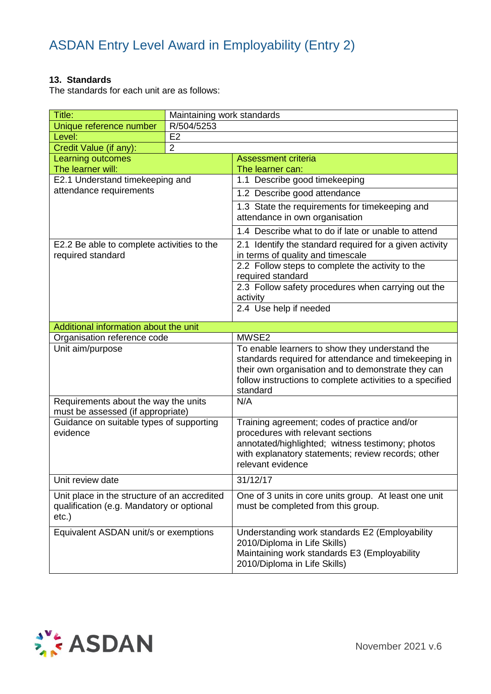### **13. Standards**

The standards for each unit are as follows:

| Title:                                                                                             | Maintaining work standards |                                                                                                                                                                                                                                       |
|----------------------------------------------------------------------------------------------------|----------------------------|---------------------------------------------------------------------------------------------------------------------------------------------------------------------------------------------------------------------------------------|
| Unique reference number                                                                            | R/504/5253                 |                                                                                                                                                                                                                                       |
| Level:                                                                                             | E <sub>2</sub>             |                                                                                                                                                                                                                                       |
| Credit Value (if any):                                                                             | $\overline{2}$             |                                                                                                                                                                                                                                       |
| <b>Learning outcomes</b>                                                                           |                            | <b>Assessment criteria</b>                                                                                                                                                                                                            |
| The learner will:                                                                                  |                            | The learner can:                                                                                                                                                                                                                      |
| E2.1 Understand timekeeping and                                                                    |                            | 1.1 Describe good timekeeping                                                                                                                                                                                                         |
| attendance requirements                                                                            |                            | 1.2 Describe good attendance                                                                                                                                                                                                          |
|                                                                                                    |                            | 1.3 State the requirements for timekeeping and<br>attendance in own organisation                                                                                                                                                      |
|                                                                                                    |                            | 1.4 Describe what to do if late or unable to attend                                                                                                                                                                                   |
| E2.2 Be able to complete activities to the<br>required standard                                    |                            | 2.1 Identify the standard required for a given activity<br>in terms of quality and timescale                                                                                                                                          |
|                                                                                                    |                            | 2.2 Follow steps to complete the activity to the<br>required standard                                                                                                                                                                 |
|                                                                                                    |                            | 2.3 Follow safety procedures when carrying out the<br>activity                                                                                                                                                                        |
|                                                                                                    |                            | 2.4 Use help if needed                                                                                                                                                                                                                |
| Additional information about the unit                                                              |                            |                                                                                                                                                                                                                                       |
| Organisation reference code                                                                        |                            | MWSE2                                                                                                                                                                                                                                 |
| Unit aim/purpose                                                                                   |                            | To enable learners to show they understand the<br>standards required for attendance and timekeeping in<br>their own organisation and to demonstrate they can<br>follow instructions to complete activities to a specified<br>standard |
| Requirements about the way the units                                                               |                            | N/A                                                                                                                                                                                                                                   |
| must be assessed (if appropriate)                                                                  |                            |                                                                                                                                                                                                                                       |
| Guidance on suitable types of supporting<br>evidence                                               |                            | Training agreement; codes of practice and/or<br>procedures with relevant sections<br>annotated/highlighted; witness testimony; photos<br>with explanatory statements; review records; other<br>relevant evidence                      |
| Unit review date                                                                                   |                            | 31/12/17                                                                                                                                                                                                                              |
| Unit place in the structure of an accredited<br>qualification (e.g. Mandatory or optional<br>etc.) |                            | One of 3 units in core units group. At least one unit<br>must be completed from this group.                                                                                                                                           |
| Equivalent ASDAN unit/s or exemptions                                                              |                            | Understanding work standards E2 (Employability<br>2010/Diploma in Life Skills)<br>Maintaining work standards E3 (Employability<br>2010/Diploma in Life Skills)                                                                        |

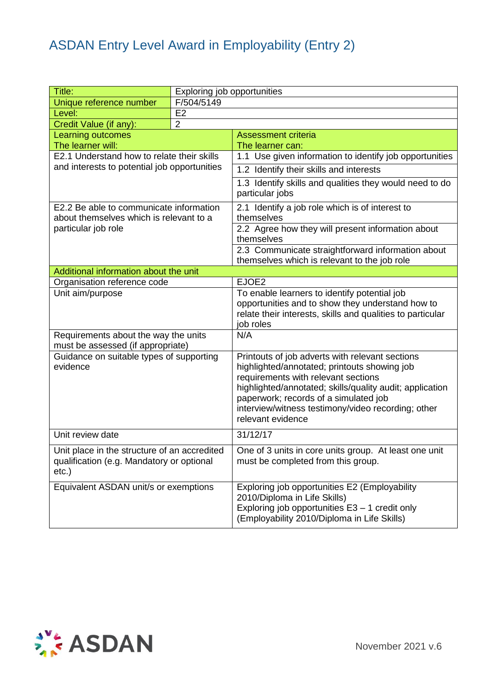| Title:                                                                                                |                | Exploring job opportunities                                                                                                                                                                                                                                                                                            |  |
|-------------------------------------------------------------------------------------------------------|----------------|------------------------------------------------------------------------------------------------------------------------------------------------------------------------------------------------------------------------------------------------------------------------------------------------------------------------|--|
| Unique reference number                                                                               | F/504/5149     |                                                                                                                                                                                                                                                                                                                        |  |
| Level:                                                                                                | E <sub>2</sub> |                                                                                                                                                                                                                                                                                                                        |  |
| Credit Value (if any):                                                                                | $\overline{2}$ |                                                                                                                                                                                                                                                                                                                        |  |
| <b>Learning outcomes</b>                                                                              |                | <b>Assessment criteria</b>                                                                                                                                                                                                                                                                                             |  |
| The learner will:                                                                                     |                | The learner can:                                                                                                                                                                                                                                                                                                       |  |
| E2.1 Understand how to relate their skills                                                            |                | 1.1 Use given information to identify job opportunities                                                                                                                                                                                                                                                                |  |
| and interests to potential job opportunities                                                          |                | 1.2 Identify their skills and interests                                                                                                                                                                                                                                                                                |  |
|                                                                                                       |                | 1.3 Identify skills and qualities they would need to do<br>particular jobs                                                                                                                                                                                                                                             |  |
| E2.2 Be able to communicate information<br>about themselves which is relevant to a                    |                | 2.1 Identify a job role which is of interest to<br>themselves                                                                                                                                                                                                                                                          |  |
| particular job role                                                                                   |                | 2.2 Agree how they will present information about<br>themselves                                                                                                                                                                                                                                                        |  |
|                                                                                                       |                | 2.3 Communicate straightforward information about<br>themselves which is relevant to the job role                                                                                                                                                                                                                      |  |
| Additional information about the unit                                                                 |                |                                                                                                                                                                                                                                                                                                                        |  |
| Organisation reference code                                                                           |                | EJOE2                                                                                                                                                                                                                                                                                                                  |  |
| Unit aim/purpose                                                                                      |                | To enable learners to identify potential job<br>opportunities and to show they understand how to<br>relate their interests, skills and qualities to particular<br>job roles                                                                                                                                            |  |
| Requirements about the way the units<br>must be assessed (if appropriate)                             |                | N/A                                                                                                                                                                                                                                                                                                                    |  |
| Guidance on suitable types of supporting<br>evidence                                                  |                | Printouts of job adverts with relevant sections<br>highlighted/annotated; printouts showing job<br>requirements with relevant sections<br>highlighted/annotated; skills/quality audit; application<br>paperwork; records of a simulated job<br>interview/witness testimony/video recording; other<br>relevant evidence |  |
| Unit review date                                                                                      |                | 31/12/17                                                                                                                                                                                                                                                                                                               |  |
| Unit place in the structure of an accredited<br>qualification (e.g. Mandatory or optional<br>$etc.$ ) |                | One of 3 units in core units group. At least one unit<br>must be completed from this group.                                                                                                                                                                                                                            |  |
| Equivalent ASDAN unit/s or exemptions                                                                 |                | Exploring job opportunities E2 (Employability<br>2010/Diploma in Life Skills)<br>Exploring job opportunities E3 - 1 credit only<br>(Employability 2010/Diploma in Life Skills)                                                                                                                                         |  |

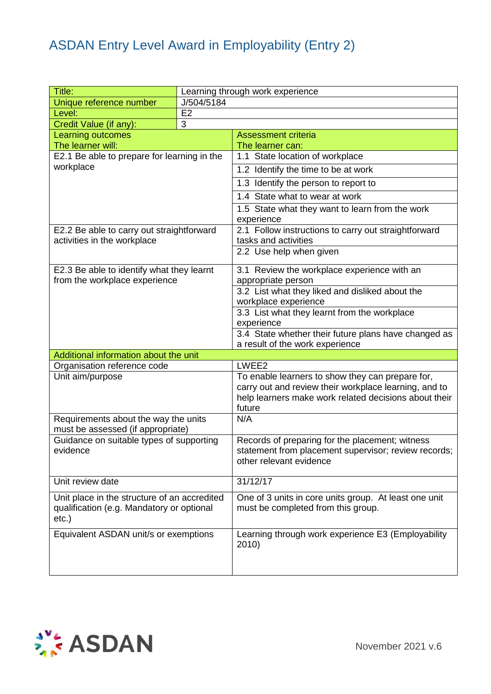| Title:                                                                                                |            | Learning through work experience                                                                                                                                             |
|-------------------------------------------------------------------------------------------------------|------------|------------------------------------------------------------------------------------------------------------------------------------------------------------------------------|
| Unique reference number                                                                               | J/504/5184 |                                                                                                                                                                              |
| Level:                                                                                                | E2         |                                                                                                                                                                              |
| Credit Value (if any):                                                                                | 3          |                                                                                                                                                                              |
| Learning outcomes                                                                                     |            | <b>Assessment criteria</b>                                                                                                                                                   |
| The learner will:                                                                                     |            | The learner can:                                                                                                                                                             |
| E2.1 Be able to prepare for learning in the                                                           |            | 1.1 State location of workplace                                                                                                                                              |
| workplace                                                                                             |            | 1.2 Identify the time to be at work                                                                                                                                          |
|                                                                                                       |            | 1.3 Identify the person to report to                                                                                                                                         |
|                                                                                                       |            | 1.4 State what to wear at work                                                                                                                                               |
|                                                                                                       |            | 1.5 State what they want to learn from the work<br>experience                                                                                                                |
| E2.2 Be able to carry out straightforward<br>activities in the workplace                              |            | 2.1 Follow instructions to carry out straightforward<br>tasks and activities                                                                                                 |
|                                                                                                       |            | 2.2 Use help when given                                                                                                                                                      |
| E2.3 Be able to identify what they learnt                                                             |            | 3.1 Review the workplace experience with an                                                                                                                                  |
| from the workplace experience                                                                         |            | appropriate person                                                                                                                                                           |
|                                                                                                       |            | 3.2 List what they liked and disliked about the                                                                                                                              |
|                                                                                                       |            | workplace experience                                                                                                                                                         |
|                                                                                                       |            | 3.3 List what they learnt from the workplace<br>experience                                                                                                                   |
|                                                                                                       |            | 3.4 State whether their future plans have changed as                                                                                                                         |
|                                                                                                       |            | a result of the work experience                                                                                                                                              |
| Additional information about the unit                                                                 |            |                                                                                                                                                                              |
| Organisation reference code                                                                           |            | LWEE2                                                                                                                                                                        |
| Unit aim/purpose                                                                                      |            | To enable learners to show they can prepare for,<br>carry out and review their workplace learning, and to<br>help learners make work related decisions about their<br>future |
| Requirements about the way the units<br>must be assessed (if appropriate)                             |            | N/A                                                                                                                                                                          |
| Guidance on suitable types of supporting<br>evidence                                                  |            | Records of preparing for the placement; witness<br>statement from placement supervisor; review records;<br>other relevant evidence                                           |
| Unit review date                                                                                      |            | 31/12/17                                                                                                                                                                     |
| Unit place in the structure of an accredited<br>qualification (e.g. Mandatory or optional<br>$etc.$ ) |            | One of 3 units in core units group. At least one unit<br>must be completed from this group.                                                                                  |
| Equivalent ASDAN unit/s or exemptions                                                                 |            | Learning through work experience E3 (Employability<br>2010)                                                                                                                  |

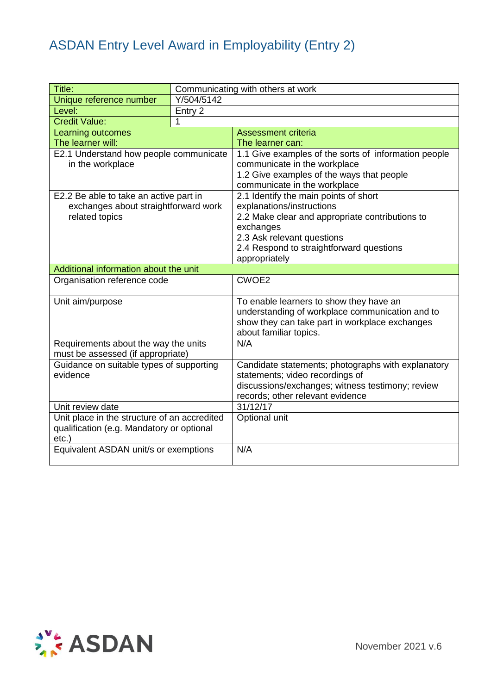| Title:                                       |            | Communicating with others at work                            |
|----------------------------------------------|------------|--------------------------------------------------------------|
| Unique reference number                      | Y/504/5142 |                                                              |
| Level:                                       | Entry 2    |                                                              |
| <b>Credit Value:</b>                         | 1          |                                                              |
| Learning outcomes                            |            | <b>Assessment criteria</b>                                   |
| The learner will:                            |            | The learner can:                                             |
| E2.1 Understand how people communicate       |            | 1.1 Give examples of the sorts of information people         |
| in the workplace                             |            | communicate in the workplace                                 |
|                                              |            | 1.2 Give examples of the ways that people                    |
|                                              |            | communicate in the workplace                                 |
| E2.2 Be able to take an active part in       |            | 2.1 Identify the main points of short                        |
| exchanges about straightforward work         |            | explanations/instructions                                    |
| related topics                               |            | 2.2 Make clear and appropriate contributions to<br>exchanges |
|                                              |            | 2.3 Ask relevant questions                                   |
|                                              |            | 2.4 Respond to straightforward questions                     |
|                                              |            | appropriately                                                |
| Additional information about the unit        |            |                                                              |
| Organisation reference code                  |            | CWOE2                                                        |
|                                              |            |                                                              |
| Unit aim/purpose                             |            | To enable learners to show they have an                      |
|                                              |            | understanding of workplace communication and to              |
|                                              |            |                                                              |
|                                              |            | show they can take part in workplace exchanges               |
|                                              |            | about familiar topics.                                       |
| Requirements about the way the units         |            | N/A                                                          |
| must be assessed (if appropriate)            |            |                                                              |
| Guidance on suitable types of supporting     |            | Candidate statements; photographs with explanatory           |
| evidence                                     |            | statements; video recordings of                              |
|                                              |            | discussions/exchanges; witness testimony; review             |
|                                              |            | records; other relevant evidence                             |
| Unit review date                             |            | 31/12/17                                                     |
| Unit place in the structure of an accredited |            | Optional unit                                                |
| qualification (e.g. Mandatory or optional    |            |                                                              |
| $etc.$ )                                     |            |                                                              |
| Equivalent ASDAN unit/s or exemptions        |            | N/A                                                          |

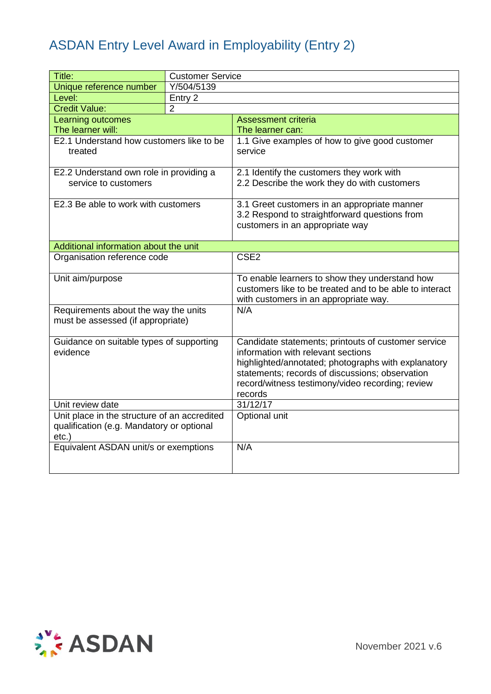| Title:                                                                                                | <b>Customer Service</b> |                                                                                                                                                                                                                                                                    |
|-------------------------------------------------------------------------------------------------------|-------------------------|--------------------------------------------------------------------------------------------------------------------------------------------------------------------------------------------------------------------------------------------------------------------|
| Unique reference number                                                                               | Y/504/5139              |                                                                                                                                                                                                                                                                    |
| Level:                                                                                                | Entry 2                 |                                                                                                                                                                                                                                                                    |
| <b>Credit Value:</b>                                                                                  | $\overline{2}$          |                                                                                                                                                                                                                                                                    |
| Learning outcomes                                                                                     |                         | <b>Assessment criteria</b>                                                                                                                                                                                                                                         |
| The learner will:                                                                                     |                         | The learner can:                                                                                                                                                                                                                                                   |
| E2.1 Understand how customers like to be<br>treated                                                   |                         | 1.1 Give examples of how to give good customer<br>service                                                                                                                                                                                                          |
| E2.2 Understand own role in providing a<br>service to customers                                       |                         | 2.1 Identify the customers they work with<br>2.2 Describe the work they do with customers                                                                                                                                                                          |
| E2.3 Be able to work with customers                                                                   |                         | 3.1 Greet customers in an appropriate manner<br>3.2 Respond to straightforward questions from<br>customers in an appropriate way                                                                                                                                   |
| Additional information about the unit                                                                 |                         |                                                                                                                                                                                                                                                                    |
| Organisation reference code                                                                           |                         | CSE <sub>2</sub>                                                                                                                                                                                                                                                   |
| Unit aim/purpose                                                                                      |                         | To enable learners to show they understand how<br>customers like to be treated and to be able to interact<br>with customers in an appropriate way.                                                                                                                 |
| Requirements about the way the units<br>must be assessed (if appropriate)                             |                         | N/A                                                                                                                                                                                                                                                                |
| Guidance on suitable types of supporting<br>evidence                                                  |                         | Candidate statements; printouts of customer service<br>information with relevant sections<br>highlighted/annotated; photographs with explanatory<br>statements; records of discussions; observation<br>record/witness testimony/video recording; review<br>records |
| Unit review date                                                                                      |                         | 31/12/17                                                                                                                                                                                                                                                           |
| Unit place in the structure of an accredited<br>qualification (e.g. Mandatory or optional<br>$etc.$ ) |                         | Optional unit                                                                                                                                                                                                                                                      |
| Equivalent ASDAN unit/s or exemptions                                                                 |                         | N/A                                                                                                                                                                                                                                                                |

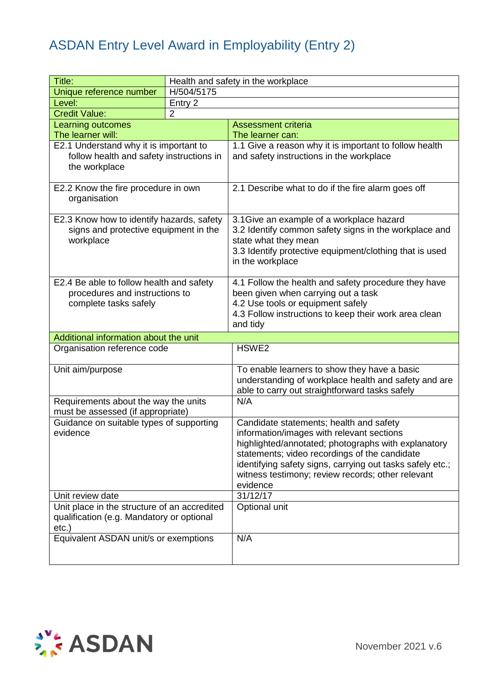| Title:                                                                                                |                | Health and safety in the workplace                                                                                                                                                                                                                                                                                         |
|-------------------------------------------------------------------------------------------------------|----------------|----------------------------------------------------------------------------------------------------------------------------------------------------------------------------------------------------------------------------------------------------------------------------------------------------------------------------|
| Unique reference number                                                                               | H/504/5175     |                                                                                                                                                                                                                                                                                                                            |
| Level:                                                                                                | Entry 2        |                                                                                                                                                                                                                                                                                                                            |
| <b>Credit Value:</b>                                                                                  | $\overline{2}$ |                                                                                                                                                                                                                                                                                                                            |
| <b>Learning outcomes</b>                                                                              |                | <b>Assessment criteria</b>                                                                                                                                                                                                                                                                                                 |
| The learner will:                                                                                     |                | The learner can:                                                                                                                                                                                                                                                                                                           |
| E2.1 Understand why it is important to<br>follow health and safety instructions in<br>the workplace   |                | 1.1 Give a reason why it is important to follow health<br>and safety instructions in the workplace                                                                                                                                                                                                                         |
| E2.2 Know the fire procedure in own<br>organisation                                                   |                | 2.1 Describe what to do if the fire alarm goes off                                                                                                                                                                                                                                                                         |
| E2.3 Know how to identify hazards, safety<br>signs and protective equipment in the<br>workplace       |                | 3.1 Give an example of a workplace hazard<br>3.2 Identify common safety signs in the workplace and<br>state what they mean<br>3.3 Identify protective equipment/clothing that is used<br>in the workplace                                                                                                                  |
| E2.4 Be able to follow health and safety<br>procedures and instructions to<br>complete tasks safely   |                | 4.1 Follow the health and safety procedure they have<br>been given when carrying out a task<br>4.2 Use tools or equipment safely<br>4.3 Follow instructions to keep their work area clean<br>and tidy                                                                                                                      |
| Additional information about the unit                                                                 |                |                                                                                                                                                                                                                                                                                                                            |
| Organisation reference code                                                                           |                | HSWE <sub>2</sub>                                                                                                                                                                                                                                                                                                          |
| Unit aim/purpose                                                                                      |                | To enable learners to show they have a basic<br>understanding of workplace health and safety and are<br>able to carry out straightforward tasks safely                                                                                                                                                                     |
| Requirements about the way the units<br>must be assessed (if appropriate)                             |                | N/A                                                                                                                                                                                                                                                                                                                        |
| Guidance on suitable types of supporting<br>evidence                                                  |                | Candidate statements; health and safety<br>information/images with relevant sections<br>highlighted/annotated; photographs with explanatory<br>statements; video recordings of the candidate<br>identifying safety signs, carrying out tasks safely etc.;<br>witness testimony; review records; other relevant<br>evidence |
| Unit review date                                                                                      |                | 31/12/17                                                                                                                                                                                                                                                                                                                   |
| Unit place in the structure of an accredited<br>qualification (e.g. Mandatory or optional<br>$etc.$ ) |                | Optional unit                                                                                                                                                                                                                                                                                                              |
| Equivalent ASDAN unit/s or exemptions                                                                 |                | N/A                                                                                                                                                                                                                                                                                                                        |

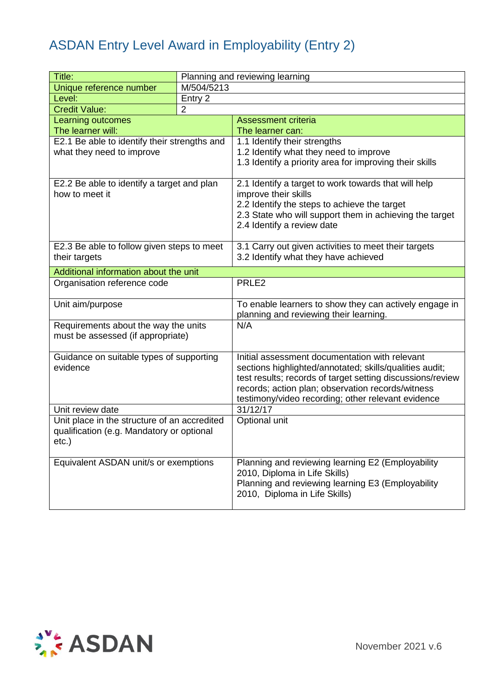| Title:                                       |                | Planning and reviewing learning                            |
|----------------------------------------------|----------------|------------------------------------------------------------|
| Unique reference number                      | M/504/5213     |                                                            |
| Level:                                       | Entry 2        |                                                            |
| <b>Credit Value:</b>                         | $\overline{2}$ |                                                            |
| Learning outcomes                            |                | <b>Assessment criteria</b>                                 |
| The learner will:                            |                | The learner can:                                           |
| E2.1 Be able to identify their strengths and |                | 1.1 Identify their strengths                               |
| what they need to improve                    |                | 1.2 Identify what they need to improve                     |
|                                              |                | 1.3 Identify a priority area for improving their skills    |
| E2.2 Be able to identify a target and plan   |                | 2.1 Identify a target to work towards that will help       |
| how to meet it                               |                | improve their skills                                       |
|                                              |                | 2.2 Identify the steps to achieve the target               |
|                                              |                | 2.3 State who will support them in achieving the target    |
|                                              |                | 2.4 Identify a review date                                 |
| E2.3 Be able to follow given steps to meet   |                | 3.1 Carry out given activities to meet their targets       |
| their targets                                |                | 3.2 Identify what they have achieved                       |
| Additional information about the unit        |                |                                                            |
|                                              |                | PRLE2                                                      |
| Organisation reference code                  |                |                                                            |
| Unit aim/purpose                             |                | To enable learners to show they can actively engage in     |
|                                              |                | planning and reviewing their learning.                     |
| Requirements about the way the units         |                | N/A                                                        |
| must be assessed (if appropriate)            |                |                                                            |
| Guidance on suitable types of supporting     |                | Initial assessment documentation with relevant             |
| evidence                                     |                | sections highlighted/annotated; skills/qualities audit;    |
|                                              |                | test results; records of target setting discussions/review |
|                                              |                | records; action plan; observation records/witness          |
|                                              |                | testimony/video recording; other relevant evidence         |
| Unit review date                             |                | 31/12/17                                                   |
| Unit place in the structure of an accredited |                | Optional unit                                              |
| qualification (e.g. Mandatory or optional    |                |                                                            |
| etc.)                                        |                |                                                            |
| Equivalent ASDAN unit/s or exemptions        |                | Planning and reviewing learning E2 (Employability          |
|                                              |                | 2010, Diploma in Life Skills)                              |
|                                              |                | Planning and reviewing learning E3 (Employability          |
|                                              |                | 2010, Diploma in Life Skills)                              |
|                                              |                |                                                            |

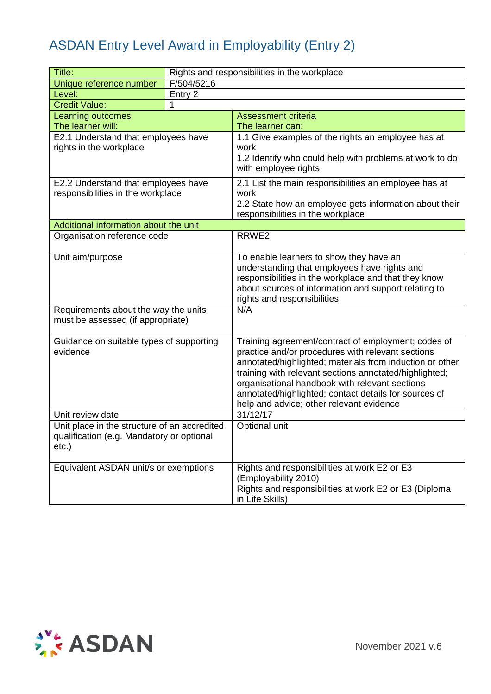| Title:                                                                                                |            | Rights and responsibilities in the workplace                                                                                                                                                                                                                                                                                                                                          |
|-------------------------------------------------------------------------------------------------------|------------|---------------------------------------------------------------------------------------------------------------------------------------------------------------------------------------------------------------------------------------------------------------------------------------------------------------------------------------------------------------------------------------|
| Unique reference number                                                                               | F/504/5216 |                                                                                                                                                                                                                                                                                                                                                                                       |
| Level:                                                                                                | Entry 2    |                                                                                                                                                                                                                                                                                                                                                                                       |
| <b>Credit Value:</b>                                                                                  | 1          |                                                                                                                                                                                                                                                                                                                                                                                       |
| <b>Learning outcomes</b>                                                                              |            | <b>Assessment criteria</b>                                                                                                                                                                                                                                                                                                                                                            |
| The learner will:                                                                                     |            | The learner can:                                                                                                                                                                                                                                                                                                                                                                      |
| E2.1 Understand that employees have                                                                   |            | 1.1 Give examples of the rights an employee has at                                                                                                                                                                                                                                                                                                                                    |
| rights in the workplace                                                                               |            | work<br>1.2 Identify who could help with problems at work to do<br>with employee rights                                                                                                                                                                                                                                                                                               |
| E2.2 Understand that employees have                                                                   |            | 2.1 List the main responsibilities an employee has at                                                                                                                                                                                                                                                                                                                                 |
| responsibilities in the workplace                                                                     |            | work                                                                                                                                                                                                                                                                                                                                                                                  |
|                                                                                                       |            | 2.2 State how an employee gets information about their<br>responsibilities in the workplace                                                                                                                                                                                                                                                                                           |
| Additional information about the unit                                                                 |            |                                                                                                                                                                                                                                                                                                                                                                                       |
| Organisation reference code                                                                           |            | RRWE <sub>2</sub>                                                                                                                                                                                                                                                                                                                                                                     |
| Unit aim/purpose                                                                                      |            | To enable learners to show they have an<br>understanding that employees have rights and<br>responsibilities in the workplace and that they know<br>about sources of information and support relating to<br>rights and responsibilities                                                                                                                                                |
| Requirements about the way the units<br>must be assessed (if appropriate)                             |            | N/A                                                                                                                                                                                                                                                                                                                                                                                   |
| Guidance on suitable types of supporting<br>evidence                                                  |            | Training agreement/contract of employment; codes of<br>practice and/or procedures with relevant sections<br>annotated/highlighted; materials from induction or other<br>training with relevant sections annotated/highlighted;<br>organisational handbook with relevant sections<br>annotated/highlighted; contact details for sources of<br>help and advice; other relevant evidence |
| Unit review date                                                                                      |            | 31/12/17                                                                                                                                                                                                                                                                                                                                                                              |
| Unit place in the structure of an accredited<br>qualification (e.g. Mandatory or optional<br>$etc.$ ) |            | Optional unit                                                                                                                                                                                                                                                                                                                                                                         |
| Equivalent ASDAN unit/s or exemptions                                                                 |            | Rights and responsibilities at work E2 or E3<br>(Employability 2010)<br>Rights and responsibilities at work E2 or E3 (Diploma<br>in Life Skills)                                                                                                                                                                                                                                      |

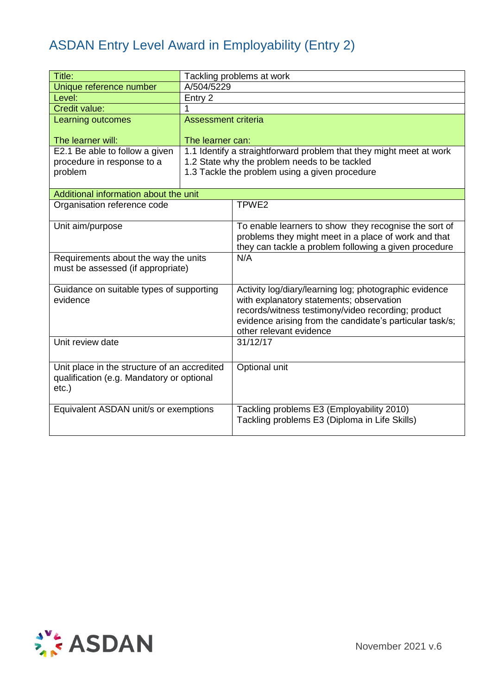| Title:                                                                                                |                     | Tackling problems at work                                                                                                                                                                                                                       |  |
|-------------------------------------------------------------------------------------------------------|---------------------|-------------------------------------------------------------------------------------------------------------------------------------------------------------------------------------------------------------------------------------------------|--|
| Unique reference number                                                                               |                     | A/504/5229                                                                                                                                                                                                                                      |  |
| Level:                                                                                                | Entry 2             |                                                                                                                                                                                                                                                 |  |
| Credit value:                                                                                         |                     |                                                                                                                                                                                                                                                 |  |
| Learning outcomes                                                                                     | Assessment criteria |                                                                                                                                                                                                                                                 |  |
| The learner will:                                                                                     | The learner can:    |                                                                                                                                                                                                                                                 |  |
| E2.1 Be able to follow a given                                                                        |                     | 1.1 Identify a straightforward problem that they might meet at work                                                                                                                                                                             |  |
| procedure in response to a                                                                            |                     | 1.2 State why the problem needs to be tackled                                                                                                                                                                                                   |  |
| problem                                                                                               |                     | 1.3 Tackle the problem using a given procedure                                                                                                                                                                                                  |  |
| Additional information about the unit                                                                 |                     |                                                                                                                                                                                                                                                 |  |
| Organisation reference code                                                                           |                     | TPWE <sub>2</sub>                                                                                                                                                                                                                               |  |
|                                                                                                       |                     |                                                                                                                                                                                                                                                 |  |
| Unit aim/purpose                                                                                      |                     | To enable learners to show they recognise the sort of<br>problems they might meet in a place of work and that<br>they can tackle a problem following a given procedure                                                                          |  |
| Requirements about the way the units<br>must be assessed (if appropriate)                             |                     | N/A                                                                                                                                                                                                                                             |  |
| Guidance on suitable types of supporting<br>evidence                                                  |                     | Activity log/diary/learning log; photographic evidence<br>with explanatory statements; observation<br>records/witness testimony/video recording; product<br>evidence arising from the candidate's particular task/s;<br>other relevant evidence |  |
| Unit review date                                                                                      |                     | 31/12/17                                                                                                                                                                                                                                        |  |
| Unit place in the structure of an accredited<br>qualification (e.g. Mandatory or optional<br>$etc.$ ) |                     | Optional unit                                                                                                                                                                                                                                   |  |
| Equivalent ASDAN unit/s or exemptions                                                                 |                     | Tackling problems E3 (Employability 2010)<br>Tackling problems E3 (Diploma in Life Skills)                                                                                                                                                      |  |

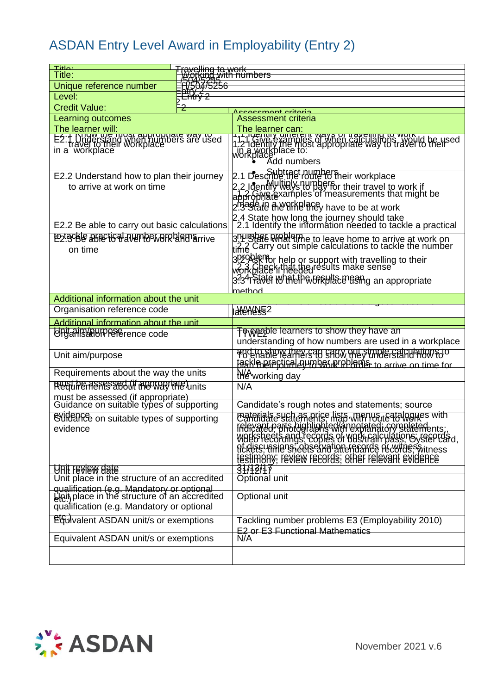| Title:<br>Title:                                                                           | <u>Fravelling to work</u><br>עסודות <u>איש (Porking</u> |                                                                                                                                                                    |
|--------------------------------------------------------------------------------------------|---------------------------------------------------------|--------------------------------------------------------------------------------------------------------------------------------------------------------------------|
| Unique reference number                                                                    | 750475256                                               |                                                                                                                                                                    |
| Level:                                                                                     | <del>E'nťrý 2</del>                                     |                                                                                                                                                                    |
| <b>Credit Value:</b>                                                                       |                                                         |                                                                                                                                                                    |
| Learning outcomes                                                                          |                                                         | coocomont oritorio<br><b>Assessment criteria</b>                                                                                                                   |
| The learner will:                                                                          |                                                         | The learner can:                                                                                                                                                   |
|                                                                                            |                                                         |                                                                                                                                                                    |
| E2:1 Drive the Incar appropriate way used<br>in a workplace<br>in a workplace              |                                                         |                                                                                                                                                                    |
|                                                                                            |                                                         |                                                                                                                                                                    |
|                                                                                            |                                                         |                                                                                                                                                                    |
| E2.2 Understand how to plan their journey                                                  |                                                         | 2.1 Describe the rounders heir workplace                                                                                                                           |
| to arrive at work on time                                                                  |                                                         | 2.2 Ident Willial Shumbar for their travel to work if<br>approphlatexamples of measurements that might be                                                          |
|                                                                                            |                                                         | 2.33State the first largy have to be at work                                                                                                                       |
|                                                                                            |                                                         |                                                                                                                                                                    |
| E2.2 Be able to carry out basic calculations                                               |                                                         | 2.4 State how long the journey should take<br>  2.1 Identify the information needed to tackle a practical                                                          |
| E2:308 BBBCIG Haven COWBIRD ATTIVE                                                         |                                                         |                                                                                                                                                                    |
| on time                                                                                    |                                                         | is <u>who peed wind</u> a to leave home to arrive at work on<br>time Carry out simple calculations to tackle the number                                            |
|                                                                                            |                                                         |                                                                                                                                                                    |
|                                                                                            |                                                         | 3Problembr help or support with travelling to their<br>workblaee if help the usual make sense                                                                      |
|                                                                                            |                                                         | 3.34 Stole MALIP & GRHIS BORD an appropriate                                                                                                                       |
|                                                                                            |                                                         | method                                                                                                                                                             |
| Additional information about the unit                                                      |                                                         |                                                                                                                                                                    |
| Organisation reference code                                                                |                                                         | <b>AAGAGASES</b> 2                                                                                                                                                 |
| Additional information about the unit                                                      |                                                         |                                                                                                                                                                    |
| UnganisterPerence code                                                                     |                                                         | <b>To enable learners to show they have an</b><br>understanding of how numbers are used in a workplace                                                             |
|                                                                                            |                                                         |                                                                                                                                                                    |
| Unit aim/purpose                                                                           |                                                         | TO EMBIDY THEY EAD SAUW THEY UNDER BEING THOM FO                                                                                                                   |
| Requirements about the way the units                                                       |                                                         | tasklanere tigal gy taken med a serive on time for                                                                                                                 |
| Redurements and if mental intervision                                                      |                                                         | Weworking day<br>N/A                                                                                                                                               |
|                                                                                            |                                                         |                                                                                                                                                                    |
| must be assessed (if appropriate)<br>Guidance on suitable types of supporting              |                                                         | Candidate's rough notes and statements; source                                                                                                                     |
| <b>CURETHE on suitable types of supporting</b>                                             |                                                         | Caterials such as price lists Minriou Eatalogues with                                                                                                              |
| evidence                                                                                   |                                                         | Canudate statements, indicated in the statements;<br>Walls heet sangs! ecopies of Washfall United Steep Card,<br>Rediscussions, obseixation from de withes witness |
|                                                                                            |                                                         |                                                                                                                                                                    |
|                                                                                            |                                                         |                                                                                                                                                                    |
|                                                                                            |                                                         | testimeny; review records; other relevant evidence                                                                                                                 |
| <b>HULL LEATEM HELE</b>                                                                    |                                                         | 31/13/17                                                                                                                                                           |
| Unit place in the structure of an accredited                                               |                                                         | Optional unit                                                                                                                                                      |
| qualification (e.g. Mandatory or optional<br>Lipit place in the structure of an accredited |                                                         | Optional unit                                                                                                                                                      |
| qualification (e.g. Mandatory or optional                                                  |                                                         |                                                                                                                                                                    |
|                                                                                            |                                                         | Tackling number problems E3 (Employability 2010)                                                                                                                   |
| EGuivalent ASDAN unit/s or exemptions                                                      |                                                         | E2 or E3 Functional Mathematics                                                                                                                                    |
| Equivalent ASDAN unit/s or exemptions                                                      |                                                         | N/A                                                                                                                                                                |
|                                                                                            |                                                         |                                                                                                                                                                    |
|                                                                                            |                                                         |                                                                                                                                                                    |

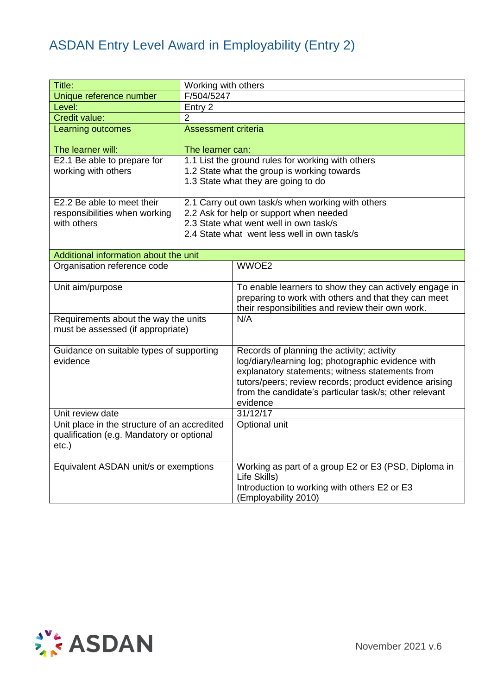| Title:                                       | Working with others        |                                                        |
|----------------------------------------------|----------------------------|--------------------------------------------------------|
| Unique reference number                      | F/504/5247                 |                                                        |
| Level:                                       | Entry 2                    |                                                        |
| Credit value:                                | $\overline{2}$             |                                                        |
| <b>Learning outcomes</b>                     | <b>Assessment criteria</b> |                                                        |
|                                              |                            |                                                        |
| The learner will:                            | The learner can:           |                                                        |
| E2.1 Be able to prepare for                  |                            | 1.1 List the ground rules for working with others      |
| working with others                          |                            | 1.2 State what the group is working towards            |
|                                              |                            | 1.3 State what they are going to do                    |
| E2.2 Be able to meet their                   |                            | 2.1 Carry out own task/s when working with others      |
| responsibilities when working                |                            | 2.2 Ask for help or support when needed                |
| with others                                  |                            | 2.3 State what went well in own task/s                 |
|                                              |                            | 2.4 State what went less well in own task/s            |
|                                              |                            |                                                        |
| Additional information about the unit        |                            |                                                        |
| Organisation reference code                  |                            | WWOE2                                                  |
| Unit aim/purpose                             |                            | To enable learners to show they can actively engage in |
|                                              |                            | preparing to work with others and that they can meet   |
|                                              |                            | their responsibilities and review their own work.      |
| Requirements about the way the units         |                            | N/A                                                    |
| must be assessed (if appropriate)            |                            |                                                        |
|                                              |                            |                                                        |
| Guidance on suitable types of supporting     |                            | Records of planning the activity; activity             |
| evidence                                     |                            | log/diary/learning log; photographic evidence with     |
|                                              |                            | explanatory statements; witness statements from        |
|                                              |                            | tutors/peers; review records; product evidence arising |
|                                              |                            | from the candidate's particular task/s; other relevant |
|                                              |                            | evidence                                               |
| Unit review date                             |                            | 31/12/17                                               |
| Unit place in the structure of an accredited |                            | Optional unit                                          |
| qualification (e.g. Mandatory or optional    |                            |                                                        |
| $etc.$ )                                     |                            |                                                        |
| Equivalent ASDAN unit/s or exemptions        |                            | Working as part of a group E2 or E3 (PSD, Diploma in   |
|                                              |                            | Life Skills)                                           |
|                                              |                            | Introduction to working with others E2 or E3           |
|                                              |                            | (Employability 2010)                                   |